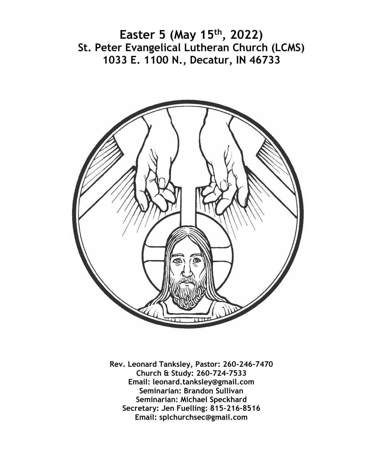**Easter 5 (May 15th, 2022) St. Peter Evangelical Lutheran Church (LCMS) 1033 E. 1100 N., Decatur, IN 46733**



**Rev. Leonard Tanksley, Pastor: 260-246-7470 Church & Study: 260-724-7533 Email: leonard.tanksley@gmail.com Seminarian: Brandon Sullivan Seminarian: Michael Speckhard Secretary: Jen Fuelling: 815-216-8516 Email: splchurchsec@gmail.com**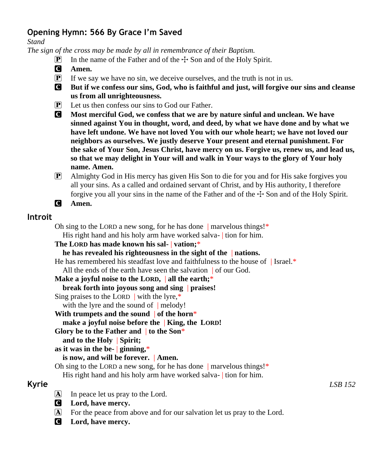# **Opening Hymn: 566 By Grace I'm Saved**

*Stand*

*The sign of the cross may be made by all in remembrance of their Baptism.*

- **P** In the name of the Father and of the  $\pm$  Son and of the Holy Spirit.
- C **Amen.**
- $\mathbf{P}$  If we say we have no sin, we deceive ourselves, and the truth is not in us.
- C **But if we confess our sins, God, who is faithful and just, will forgive our sins and cleanse us from all unrighteousness.**
- P Let us then confess our sins to God our Father.
- C **Most merciful God, we confess that we are by nature sinful and unclean. We have sinned against You in thought, word, and deed, by what we have done and by what we have left undone. We have not loved You with our whole heart; we have not loved our neighbors as ourselves. We justly deserve Your present and eternal punishment. For the sake of Your Son, Jesus Christ, have mercy on us. Forgive us, renew us, and lead us, so that we may delight in Your will and walk in Your ways to the glory of Your holy name. Amen.**
- P Almighty God in His mercy has given His Son to die for you and for His sake forgives you all your sins. As a called and ordained servant of Christ, and by His authority, I therefore forgive you all your sins in the name of the Father and of the  $\pm$  Son and of the Holy Spirit.
- C **Amen.**

#### **Introit**

Oh sing to the LORD a new song, for he has done  $|$  marvelous things!\*

His right hand and his holy arm have worked salva- tion for him.

```
The LORD has made known his sal- | vation;*
```

```
he has revealed his righteousness in the sight of the | nations.
```
He has remembered his steadfast love and faithfulness to the house of  $|$  Israel.\* All the ends of the earth have seen the salvation of our God.

**Make a joyful noise to the LORD,** | **all the earth;**\*

**break forth into joyous song and sing** | **praises!**

Sing praises to the LORD  $\vert$  with the lyre,\*

with the lyre and the sound of | melody!

```
With trumpets and the sound | of the horn*
```
**make a joyful noise before the** | **King, the LORD!**

**Glory be to the Father and** | **to the Son**\*

**and to the Holy** | **Spirit;**

```
as it was in the be- | ginning,*
```
#### **is now, and will be forever.** | **Amen.**

Oh sing to the LORD a new song, for he has done  $|$  marvelous things!\*

His right hand and his holy arm have worked salva- tion for him.

- A In peace let us pray to the Lord.
- C **Lord, have mercy.**
- A For the peace from above and for our salvation let us pray to the Lord.
- C **Lord, have mercy.**

**Kyrie** *LSB 152*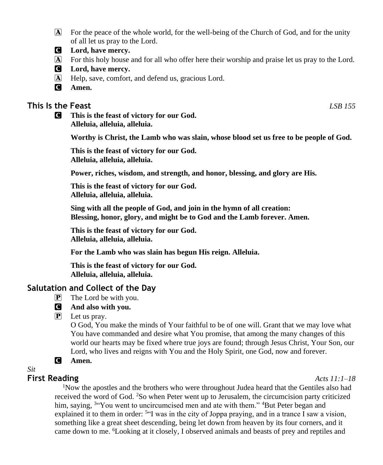- A For the peace of the whole world, for the well-being of the Church of God, and for the unity of all let us pray to the Lord.
- C **Lord, have mercy.**
- A For this holy house and for all who offer here their worship and praise let us pray to the Lord.
- C **Lord, have mercy.**
- A Help, save, comfort, and defend us, gracious Lord.
- C **Amen.**

### **This Is the Feast** *LSB 155*

C **This is the feast of victory for our God. Alleluia, alleluia, alleluia.**

**Worthy is Christ, the Lamb who was slain, whose blood set us free to be people of God.**

**This is the feast of victory for our God. Alleluia, alleluia, alleluia.**

**Power, riches, wisdom, and strength, and honor, blessing, and glory are His.**

**This is the feast of victory for our God. Alleluia, alleluia, alleluia.**

**Sing with all the people of God, and join in the hymn of all creation: Blessing, honor, glory, and might be to God and the Lamb forever. Amen.**

**This is the feast of victory for our God. Alleluia, alleluia, alleluia.**

**For the Lamb who was slain has begun His reign. Alleluia.**

**This is the feast of victory for our God. Alleluia, alleluia, alleluia.**

### **Salutation and Collect of the Day**

- $\mathbf{P}$  The Lord be with you.
- C **And also with you.**
- $\overline{P}$  Let us pray.

O God, You make the minds of Your faithful to be of one will. Grant that we may love what You have commanded and desire what You promise, that among the many changes of this world our hearts may be fixed where true joys are found; through Jesus Christ, Your Son, our Lord, who lives and reigns with You and the Holy Spirit, one God, now and forever.

C **Amen.**

### *Sit*

### **First Reading** *Acts 11:1–18*

<sup>1</sup>Now the apostles and the brothers who were throughout Judea heard that the Gentiles also had received the word of God. <sup>2</sup>So when Peter went up to Jerusalem, the circumcision party criticized him, saying, <sup>3"</sup>You went to uncircumcised men and ate with them." <sup>4</sup>But Peter began and explained it to them in order:  $5\cdot$  Y was in the city of Joppa praying, and in a trance I saw a vision, something like a great sheet descending, being let down from heaven by its four corners, and it came down to me. 6Looking at it closely, I observed animals and beasts of prey and reptiles and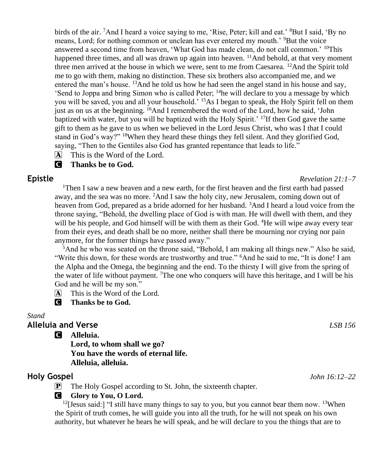birds of the air. <sup>7</sup>And I heard a voice saying to me, 'Rise, Peter; kill and eat.' <sup>8</sup>But I said, 'By no means, Lord; for nothing common or unclean has ever entered my mouth.' <sup>9</sup>But the voice answered a second time from heaven, 'What God has made clean, do not call common.' <sup>10</sup>This happened three times, and all was drawn up again into heaven.  $\frac{11}{1}$ And behold, at that very moment three men arrived at the house in which we were, sent to me from Caesarea.  $12$ And the Spirit told me to go with them, making no distinction. These six brothers also accompanied me, and we entered the man's house.  $^{13}$ And he told us how he had seen the angel stand in his house and say, 'Send to Joppa and bring Simon who is called Peter;  $14$ he will declare to you a message by which you will be saved, you and all your household.<sup>' 15</sup>As I began to speak, the Holy Spirit fell on them just as on us at the beginning. <sup>16</sup>And I remembered the word of the Lord, how he said, 'John baptized with water, but you will be baptized with the Holy Spirit.<sup>' 17</sup>If then God gave the same gift to them as he gave to us when we believed in the Lord Jesus Christ, who was I that I could stand in God's way?" <sup>18</sup>When they heard these things they fell silent. And they glorified God, saying, "Then to the Gentiles also God has granted repentance that leads to life."

 $\overline{A}$  This is the Word of the Lord.

#### C **Thanks be to God.**

<sup>1</sup>Then I saw a new heaven and a new earth, for the first heaven and the first earth had passed away, and the sea was no more. <sup>2</sup>And I saw the holy city, new Jerusalem, coming down out of heaven from God, prepared as a bride adorned for her husband. <sup>3</sup>And I heard a loud voice from the throne saying, "Behold, the dwelling place of God is with man. He will dwell with them, and they will be his people, and God himself will be with them as their God. <sup>4</sup>He will wipe away every tear from their eyes, and death shall be no more, neither shall there be mourning nor crying nor pain anymore, for the former things have passed away."

<sup>5</sup>And he who was seated on the throne said, "Behold, I am making all things new." Also he said, "Write this down, for these words are trustworthy and true." <sup>6</sup>And he said to me, "It is done! I am the Alpha and the Omega, the beginning and the end. To the thirsty I will give from the spring of the water of life without payment. <sup>7</sup>The one who conquers will have this heritage, and I will be his God and he will be my son."

 $\overline{A}$  This is the Word of the Lord.

**C** Thanks be to God.

#### *Stand*

# **Alleluia and Verse** *LSB 156*

C **Alleluia.**

**Lord, to whom shall we go? You have the words of eternal life. Alleluia, alleluia.**

## **Holy Gospel** *John 16:12–22*

**P** The Holy Gospel according to St. John, the sixteenth chapter.

### **G** Glory to You, O Lord.

<sup>12</sup>[Jesus said:] "I still have many things to say to you, but you cannot bear them now. <sup>13</sup>When the Spirit of truth comes, he will guide you into all the truth, for he will not speak on his own authority, but whatever he hears he will speak, and he will declare to you the things that are to

**Epistle** *Revelation 21:1–7*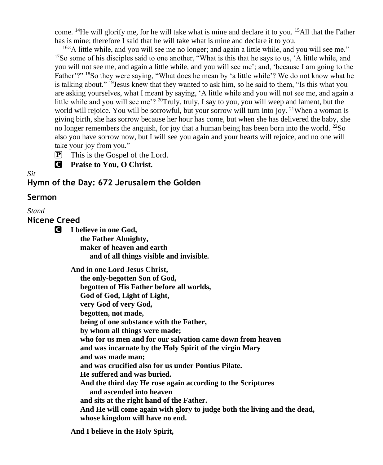come. <sup>14</sup>He will glorify me, for he will take what is mine and declare it to you. <sup>15</sup>All that the Father has is mine; therefore I said that he will take what is mine and declare it to you.

<sup>16</sup>"A little while, and you will see me no longer; and again a little while, and you will see me." <sup>17</sup>So some of his disciples said to one another, "What is this that he says to us, 'A little while, and you will not see me, and again a little while, and you will see me'; and, 'because I am going to the Father'?" <sup>18</sup>So they were saying, "What does he mean by 'a little while'? We do not know what he is talking about." <sup>19</sup>Jesus knew that they wanted to ask him, so he said to them, "Is this what you are asking yourselves, what I meant by saying, 'A little while and you will not see me, and again a little while and you will see me'?  $^{20}$ Truly, truly, I say to you, you will weep and lament, but the world will rejoice. You will be sorrowful, but your sorrow will turn into joy. <sup>21</sup>When a woman is giving birth, she has sorrow because her hour has come, but when she has delivered the baby, she no longer remembers the anguish, for joy that a human being has been born into the world.  $^{22}$ So also you have sorrow now, but I will see you again and your hearts will rejoice, and no one will take your joy from you."

**P** This is the Gospel of the Lord.

C **Praise to You, O Christ.**

*Sit*

**Hymn of the Day: 672 Jerusalem the Golden**

#### **Sermon**

*Stand*

**Nicene Creed**

C **I believe in one God,**

 **the Father Almighty, maker of heaven and earth and of all things visible and invisible.**

**And in one Lord Jesus Christ,**

 **the only-begotten Son of God, begotten of His Father before all worlds, God of God, Light of Light, very God of very God, begotten, not made, being of one substance with the Father, by whom all things were made; who for us men and for our salvation came down from heaven and was incarnate by the Holy Spirit of the virgin Mary and was made man; and was crucified also for us under Pontius Pilate. He suffered and was buried. And the third day He rose again according to the Scriptures and ascended into heaven and sits at the right hand of the Father. And He will come again with glory to judge both the living and the dead, whose kingdom will have no end.**

**And I believe in the Holy Spirit,**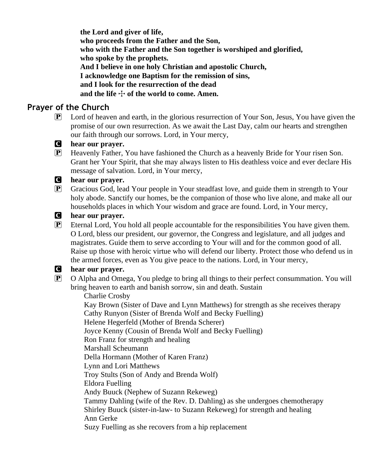**the Lord and giver of life, who proceeds from the Father and the Son, who with the Father and the Son together is worshiped and glorified, who spoke by the prophets. And I believe in one holy Christian and apostolic Church, I acknowledge one Baptism for the remission of sins, and I look for the resurrection of the dead** and the life  $\div$  of the world to come. Amen.

# **Prayer of the Church**

- P Lord of heaven and earth, in the glorious resurrection of Your Son, Jesus, You have given the promise of our own resurrection. As we await the Last Day, calm our hearts and strengthen our faith through our sorrows. Lord, in Your mercy,
- C **hear our prayer.**
- P Heavenly Father, You have fashioned the Church as a heavenly Bride for Your risen Son. Grant her Your Spirit, that she may always listen to His deathless voice and ever declare His message of salvation. Lord, in Your mercy,

#### C **hear our prayer.**

P Gracious God, lead Your people in Your steadfast love, and guide them in strength to Your holy abode. Sanctify our homes, be the companion of those who live alone, and make all our households places in which Your wisdom and grace are found. Lord, in Your mercy,

#### C **hear our prayer.**

P Eternal Lord, You hold all people accountable for the responsibilities You have given them. O Lord, bless our president, our governor, the Congress and legislature, and all judges and magistrates. Guide them to serve according to Your will and for the common good of all. Raise up those with heroic virtue who will defend our liberty. Protect those who defend us in the armed forces, even as You give peace to the nations. Lord, in Your mercy,

#### C **hear our prayer.**

P O Alpha and Omega, You pledge to bring all things to their perfect consummation. You will bring heaven to earth and banish sorrow, sin and death. Sustain

Charlie Crosby

 Kay Brown (Sister of Dave and Lynn Matthews) for strength as she receives therapy Cathy Runyon (Sister of Brenda Wolf and Becky Fuelling)

Helene Hegerfeld (Mother of Brenda Scherer)

Joyce Kenny (Cousin of Brenda Wolf and Becky Fuelling)

Ron Franz for strength and healing

Marshall Scheumann

 Della Hormann (Mother of Karen Franz) Lynn and Lori Matthews

Troy Stults (Son of Andy and Brenda Wolf)

Eldora Fuelling

Andy Buuck (Nephew of Suzann Rekeweg)

 Tammy Dahling (wife of the Rev. D. Dahling) as she undergoes chemotherapy Shirley Buuck (sister-in-law- to Suzann Rekeweg) for strength and healing Ann Gerke

Suzy Fuelling as she recovers from a hip replacement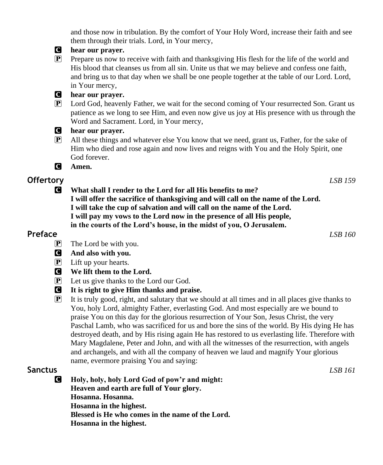and those now in tribulation. By the comfort of Your Holy Word, increase their faith and see them through their trials. Lord, in Your mercy,



#### C **hear our prayer.**

P Prepare us now to receive with faith and thanksgiving His flesh for the life of the world and His blood that cleanses us from all sin. Unite us that we may believe and confess one faith, and bring us to that day when we shall be one people together at the table of our Lord. Lord, in Your mercy,

#### C **hear our prayer.**

P Lord God, heavenly Father, we wait for the second coming of Your resurrected Son. Grant us patience as we long to see Him, and even now give us joy at His presence with us through the Word and Sacrament. Lord, in Your mercy,

#### C **hear our prayer.**

- $\mathbb{P}$  All these things and whatever else You know that we need, grant us, Father, for the sake of Him who died and rose again and now lives and reigns with You and the Holy Spirit, one God forever.
- C **Amen.**

# **Offertory** *LSB 159*

**C** What shall I render to the Lord for all His benefits to me? **I will offer the sacrifice of thanksgiving and will call on the name of the Lord. I will take the cup of salvation and will call on the name of the Lord. I will pay my vows to the Lord now in the presence of all His people, in the courts of the Lord's house, in the midst of you, O Jerusalem.**

# **Preface** *LSB 160*

- $\overline{P}$  The Lord be with you.
- C **And also with you.**
- P Lift up your hearts.
- C **We lift them to the Lord.**
- P Let us give thanks to the Lord our God.
- C **It is right to give Him thanks and praise.**
- $\mathbb{P}$  It is truly good, right, and salutary that we should at all times and in all places give thanks to You, holy Lord, almighty Father, everlasting God. And most especially are we bound to praise You on this day for the glorious resurrection of Your Son, Jesus Christ, the very Paschal Lamb, who was sacrificed for us and bore the sins of the world. By His dying He has destroyed death, and by His rising again He has restored to us everlasting life. Therefore with Mary Magdalene, Peter and John, and with all the witnesses of the resurrection, with angels and archangels, and with all the company of heaven we laud and magnify Your glorious name, evermore praising You and saying:

## **Sanctus** *LSB 161*

C **Holy, holy, holy Lord God of pow'r and might: Heaven and earth are full of Your glory. Hosanna. Hosanna. Hosanna in the highest. Blessed is He who comes in the name of the Lord. Hosanna in the highest.**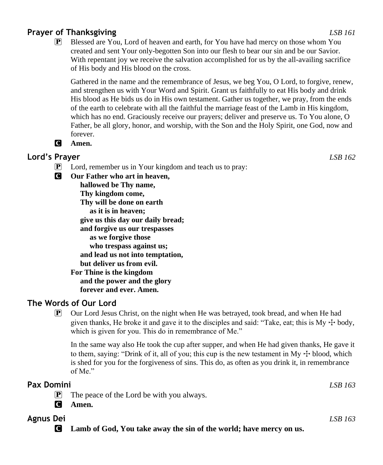# **Prayer of Thanksgiving** *LSB 161*

P Blessed are You, Lord of heaven and earth, for You have had mercy on those whom You created and sent Your only-begotten Son into our flesh to bear our sin and be our Savior. With repentant joy we receive the salvation accomplished for us by the all-availing sacrifice of His body and His blood on the cross.

Gathered in the name and the remembrance of Jesus, we beg You, O Lord, to forgive, renew, and strengthen us with Your Word and Spirit. Grant us faithfully to eat His body and drink His blood as He bids us do in His own testament. Gather us together, we pray, from the ends of the earth to celebrate with all the faithful the marriage feast of the Lamb in His kingdom, which has no end. Graciously receive our prayers; deliver and preserve us. To You alone, O Father, be all glory, honor, and worship, with the Son and the Holy Spirit, one God, now and forever.

## C **Amen.**

# **Lord's Prayer** *LSB 162*

- P Lord, remember us in Your kingdom and teach us to pray:
- C **Our Father who art in heaven,**

 **hallowed be Thy name, Thy kingdom come, Thy will be done on earth as it is in heaven; give us this day our daily bread; and forgive us our trespasses as we forgive those who trespass against us; and lead us not into temptation, but deliver us from evil. For Thine is the kingdom and the power and the glory forever and ever. Amen.**

# **The Words of Our Lord**

 $\mathbb{P}$  Our Lord Jesus Christ, on the night when He was betrayed, took bread, and when He had given thanks, He broke it and gave it to the disciples and said: "Take, eat; this is  $My + body$ , which is given for you. This do in remembrance of Me."

In the same way also He took the cup after supper, and when He had given thanks, He gave it to them, saying: "Drink of it, all of you; this cup is the new testament in My  $\pm$  blood, which is shed for you for the forgiveness of sins. This do, as often as you drink it, in remembrance of Me."

# **Pax Domini** *LSB 163*  $\mathbf{P}$  The peace of the Lord be with you always. C **Amen. Agnus Dei** *LSB 163*

C **Lamb of God, You take away the sin of the world; have mercy on us.**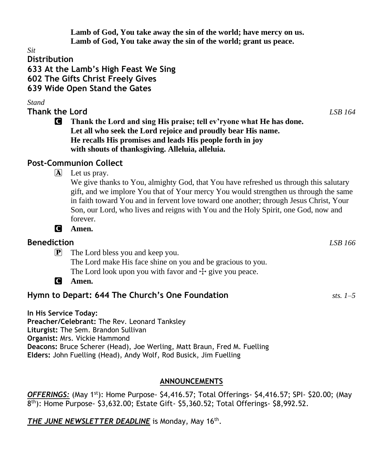**Lamb of God, You take away the sin of the world; have mercy on us. Lamb of God, You take away the sin of the world; grant us peace.**

*Sit*

**Distribution**

**633 At the Lamb's High Feast We Sing 602 The Gifts Christ Freely Gives**

**639 Wide Open Stand the Gates**

*Stand*

**Thank the Lord** *LSB 164*

C **Thank the Lord and sing His praise; tell ev'ryone what He has done. Let all who seek the Lord rejoice and proudly bear His name. He recalls His promises and leads His people forth in joy with shouts of thanksgiving. Alleluia, alleluia.**

# **Post-Communion Collect**

 $|\mathbf{A}|$  Let us pray.

We give thanks to You, almighty God, that You have refreshed us through this salutary gift, and we implore You that of Your mercy You would strengthen us through the same in faith toward You and in fervent love toward one another; through Jesus Christ, Your Son, our Lord, who lives and reigns with You and the Holy Spirit, one God, now and forever.

C **Amen.**

# **Benediction** *LSB 166*

P The Lord bless you and keep you. The Lord make His face shine on you and be gracious to you. The Lord look upon you with favor and  $\pm$  give you peace.

C **Amen.**

# **Hymn to Depart: 644 The Church's One Foundation** *sts. 1–5*

**In His Service Today: Preacher/Celebrant:** The Rev. Leonard Tanksley **Liturgist:** The Sem. Brandon Sullivan **Organist:** Mrs. Vickie Hammond **Deacons:** Bruce Scherer (Head), Joe Werling, Matt Braun, Fred M. Fuelling **Elders:** John Fuelling (Head), Andy Wolf, Rod Busick, Jim Fuelling

# **ANNOUNCEMENTS**

*OFFERINGS:* (May 1st): Home Purpose- \$4,416.57; Total Offerings- \$4,416.57; SPI- \$20.00; (May 8 th): Home Purpose- \$3,632.00; Estate Gift- \$5,360.52; Total Offerings- \$8,992.52.

THE JUNE NEWSLETTER DEADLINE is Monday, May 16<sup>th</sup>.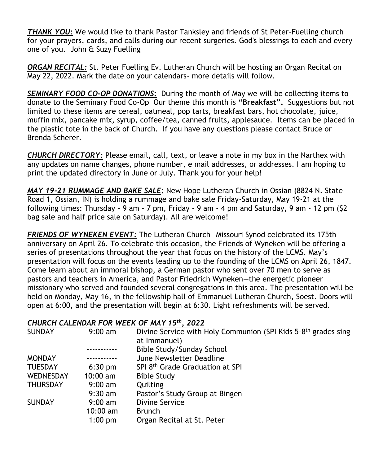*THANK YOU:* We would like to thank Pastor Tanksley and friends of St Peter-Fuelling church for your prayers, cards, and calls during our recent surgeries. God's blessings to each and every one of you. John & Suzy Fuelling

*ORGAN RECITAL:* St. Peter Fuelling Ev. Lutheran Church will be hosting an Organ Recital on May 22, 2022. Mark the date on your calendars- more details will follow.

*SEMINARY FOOD CO-OP DONATIONS***:** During the month of May we will be collecting items to donate to the Seminary Food Co-Op Our theme this month is **"Breakfast".** Suggestions but not limited to these items are cereal, oatmeal, pop tarts, breakfast bars, hot chocolate, juice, muffin mix, pancake mix, syrup, coffee/tea, canned fruits, applesauce. Items can be placed in the plastic tote in the back of Church. If you have any questions please contact Bruce or Brenda Scherer.

*CHURCH DIRECTORY:* Please email, call, text, or leave a note in my box in the Narthex with any updates on name changes, phone number, e mail addresses, or addresses. I am hoping to print the updated directory in June or July. Thank you for your help!

*MAY 19-21 RUMMAGE AND BAKE SALE***:** New Hope Lutheran Church in Ossian (8824 N. State Road 1, Ossian, IN) is holding a rummage and bake sale Friday-Saturday, May 19-21 at the following times: Thursday - 9 am - 7 pm, Friday - 9 am - 4 pm and Saturday, 9 am - 12 pm (\$2 bag sale and half price sale on Saturday). All are welcome!

*FRIENDS OF WYNEKEN EVENT:* The Lutheran Church—Missouri Synod celebrated its 175th anniversary on April 26. To celebrate this occasion, the Friends of Wyneken will be offering a series of presentations throughout the year that focus on the history of the LCMS. May's presentation will focus on the events leading up to the founding of the LCMS on April 26, 1847. Come learn about an immoral bishop, a German pastor who sent over 70 men to serve as pastors and teachers in America, and Pastor Friedrich Wyneken—the energetic pioneer missionary who served and founded several congregations in this area. The presentation will be held on Monday, May 16, in the fellowship hall of Emmanuel Lutheran Church, Soest. Doors will open at 6:00, and the presentation will begin at 6:30. Light refreshments will be served.

#### *CHURCH CALENDAR FOR WEEK OF MAY 15th, 2022*

| <b>SUNDAY</b>   | $9:00 \text{ am}$ | Divine Service with Holy Communion (SPI Kids 5-8 <sup>th</sup> grades sing |
|-----------------|-------------------|----------------------------------------------------------------------------|
|                 |                   | at Immanuel)                                                               |
|                 |                   | Bible Study/Sunday School                                                  |
| <b>MONDAY</b>   |                   | June Newsletter Deadline                                                   |
| <b>TUESDAY</b>  | $6:30$ pm         | SPI 8th Grade Graduation at SPI                                            |
| WEDNESDAY       | $10:00$ am        | <b>Bible Study</b>                                                         |
| <b>THURSDAY</b> | $9:00 \text{ am}$ | Quilting                                                                   |
|                 | $9:30$ am         | Pastor's Study Group at Bingen                                             |
| <b>SUNDAY</b>   | $9:00 \text{ am}$ | Divine Service                                                             |
|                 | $10:00$ am        | <b>Brunch</b>                                                              |
|                 | $1:00$ pm         | Organ Recital at St. Peter                                                 |